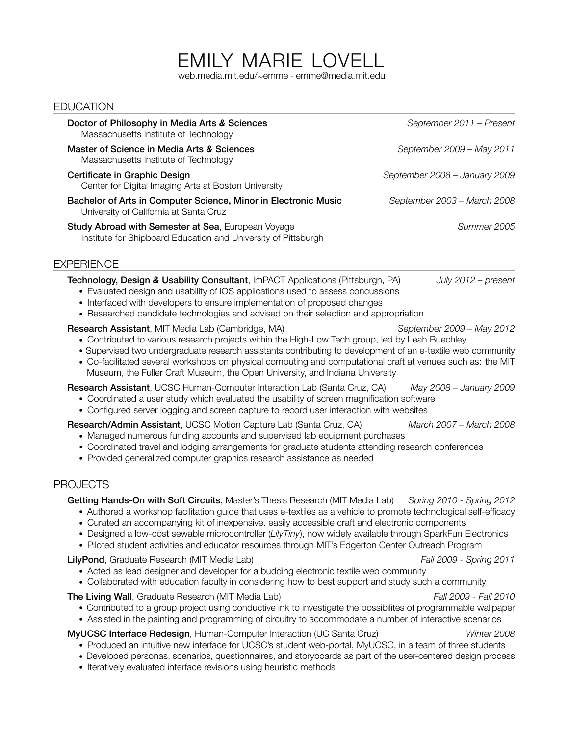# EMILY MARIE LOVELL

web.media.mit.edu/*∼*emme *·* emme@media.mit.edu

# **EDUCATION**

| Doctor of Philosophy in Media Arts & Sciences<br>Massachusetts Institute of Technology                                                                                                                                                                                                                                                                                                                                                                                                                                     | September 2011 - Present      |
|----------------------------------------------------------------------------------------------------------------------------------------------------------------------------------------------------------------------------------------------------------------------------------------------------------------------------------------------------------------------------------------------------------------------------------------------------------------------------------------------------------------------------|-------------------------------|
| Master of Science in Media Arts & Sciences<br>Massachusetts Institute of Technology                                                                                                                                                                                                                                                                                                                                                                                                                                        | September 2009 - May 2011     |
| Certificate in Graphic Design<br>Center for Digital Imaging Arts at Boston University                                                                                                                                                                                                                                                                                                                                                                                                                                      | September 2008 - January 2009 |
| Bachelor of Arts in Computer Science, Minor in Electronic Music<br>University of California at Santa Cruz                                                                                                                                                                                                                                                                                                                                                                                                                  | September 2003 - March 2008   |
| Study Abroad with Semester at Sea, European Voyage<br>Institute for Shipboard Education and University of Pittsburgh                                                                                                                                                                                                                                                                                                                                                                                                       | Summer 2005                   |
| <b>EXPERIENCE</b>                                                                                                                                                                                                                                                                                                                                                                                                                                                                                                          |                               |
| Technology, Design & Usability Consultant, ImPACT Applications (Pittsburgh, PA)<br>• Evaluated design and usability of iOS applications used to assess concussions<br>• Interfaced with developers to ensure implementation of proposed changes<br>• Researched candidate technologies and advised on their selection and appropriation                                                                                                                                                                                    | July 2012 - present           |
| Research Assistant, MIT Media Lab (Cambridge, MA)<br>• Contributed to various research projects within the High-Low Tech group, led by Leah Buechley<br>• Supervised two undergraduate research assistants contributing to development of an e-textile web community<br>• Co-facilitated several workshops on physical computing and computational craft at venues such as: the MIT<br>Museum, the Fuller Craft Museum, the Open University, and Indiana University                                                        | September 2009 - May 2012     |
| Research Assistant, UCSC Human-Computer Interaction Lab (Santa Cruz, CA)<br>• Coordinated a user study which evaluated the usability of screen magnification software<br>• Configured server logging and screen capture to record user interaction with websites                                                                                                                                                                                                                                                           | May 2008 - January 2009       |
| Research/Admin Assistant, UCSC Motion Capture Lab (Santa Cruz, CA)<br>• Managed numerous funding accounts and supervised lab equipment purchases<br>• Coordinated travel and lodging arrangements for graduate students attending research conferences<br>• Provided generalized computer graphics research assistance as needed                                                                                                                                                                                           | March 2007 - March 2008       |
| <b>PROJECTS</b>                                                                                                                                                                                                                                                                                                                                                                                                                                                                                                            |                               |
| Getting Hands-On with Soft Circuits, Master's Thesis Research (MIT Media Lab)<br>• Authored a workshop facilitation guide that uses e-textiles as a vehicle to promote technological self-efficacy<br>• Curated an accompanying kit of inexpensive, easily accessible craft and electronic components<br>• Designed a low-cost sewable microcontroller (LilyTiny), now widely available through SparkFun Electronics<br>• Piloted student activities and educator resources through MIT's Edgerton Center Outreach Program | Spring 2010 - Spring 2012     |
| LilyPond, Graduate Research (MIT Media Lab)<br>• Acted as lead designer and developer for a budding electronic textile web community<br>• Collaborated with education faculty in considering how to best support and study such a community                                                                                                                                                                                                                                                                                | Fall 2009 - Spring 2011       |
| The Living Wall, Graduate Research (MIT Media Lab)<br>• Contributed to a group project using conductive ink to investigate the possibilites of programmable wallpaper<br>• Assisted in the painting and programming of circuitry to accommodate a number of interactive scenarios                                                                                                                                                                                                                                          | Fall 2009 - Fall 2010         |
| MyUCSC Interface Redesign, Human-Computer Interaction (UC Santa Cruz)<br>• Produced an intuitive new interface for UCSC's student web-portal, MyUCSC, in a team of three students<br>• Developed personas, scenarios, questionnaires, and storyboards as part of the user-centered design process                                                                                                                                                                                                                          | Winter 2008                   |

Iteratively evaluated interface revisions using heuristic methods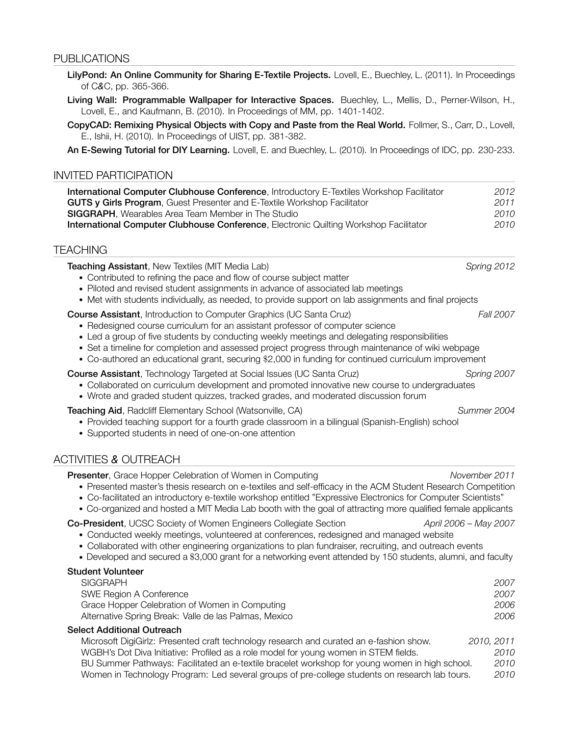#### PUBLICATIONS

- LilyPond: An Online Community for Sharing E-Textile Projects. Lovell, E., Buechley, L. (2011). In Proceedings of C*&*C, pp. 365-366.
- Living Wall: Programmable Wallpaper for Interactive Spaces. Buechley, L., Mellis, D., Perner-Wilson, H., Lovell, E., and Kaufmann, B. (2010). In Proceedings of MM, pp. 1401-1402.
- CopyCAD: Remixing Physical Objects with Copy and Paste from the Real World. Follmer, S., Carr, D., Lovell, E., Ishii, H. (2010). In Proceedings of UIST, pp. 381-382.

An E-Sewing Tutorial for DIY Learning. Lovell, E. and Buechley, L. (2010). In Proceedings of IDC, pp. 230-233.

#### INVITED PARTICIPATION

| International Computer Clubhouse Conference, Introductory E-Textiles Workshop Facilitator    | 2012 |
|----------------------------------------------------------------------------------------------|------|
| <b>GUTS y Girls Program, Guest Presenter and E-Textile Workshop Facilitator</b>              | 2011 |
| <b>SIGGRAPH.</b> Wearables Area Team Member in The Studio                                    | 2010 |
| <b>International Computer Clubhouse Conference, Electronic Quilting Workshop Facilitator</b> | 2010 |

#### TEACHING

Teaching Assistant, New Textiles (MIT Media Lab) *Spring 2012*

- Contributed to refining the pace and flow of course subject matter
- Piloted and revised student assignments in advance of associated lab meetings
- Met with students individually, as needed, to provide support on lab assignments and final projects

#### Course Assistant, Introduction to Computer Graphics (UC Santa Cruz) *Fall 2007*

- Redesigned course curriculum for an assistant professor of computer science
- Led a group of five students by conducting weekly meetings and delegating responsibilities
- Set a timeline for completion and assessed project progress through maintenance of wiki webpage
- Co-authored an educational grant, securing \$2,000 in funding for continued curriculum improvement

Course Assistant, Technology Targeted at Social Issues (UC Santa Cruz) *Spring 2007*

- Collaborated on curriculum development and promoted innovative new course to undergraduates
- Wrote and graded student quizzes, tracked grades, and moderated discussion forum

Teaching Aid, Radcliff Elementary School (Watsonville, CA) *Summer 2004*

- Provided teaching support for a fourth grade classroom in a bilingual (Spanish-English) school
- Supported students in need of one-on-one attention

### ACTIVITIES *&* OUTREACH

Presenter, Grace Hopper Celebration of Women in Computing *November 2011* • Presented master's thesis research on e-textiles and self-efficacy in the ACM Student Research Competition r Co-facilitated an introductory e-textile workshop entitled "Expressive Electronics for Computer Scientists" • Co-organized and hosted a MIT Media Lab booth with the goal of attracting more qualified female applicants Co-President, UCSC Society of Women Engineers Collegiate Section *April 2006 – May 2007* • Conducted weekly meetings, volunteered at conferences, redesigned and managed website • Collaborated with other engineering organizations to plan fundraiser, recruiting, and outreach events r Developed and secured a \$3,000 grant for a networking event attended by 150 students, alumni, and faculty Student Volunteer SIGGRAPH *2007* SWE Region A Conference *2007* Grace Hopper Celebration of Women in Computing *2006* Alternative Spring Break: Valle de las Palmas, Mexico *2006* Select Additional Outreach Microsoft DigiGirlz: Presented craft technology research and curated an e-fashion show. *2010, 2011* WGBH's Dot Diva Initiative: Profiled as a role model for young women in STEM fields. *2010* BU Summer Pathways: Facilitated an e-textile bracelet workshop for young women in high school. *2010* Women in Technology Program: Led several groups of pre-college students on research lab tours. *2010*